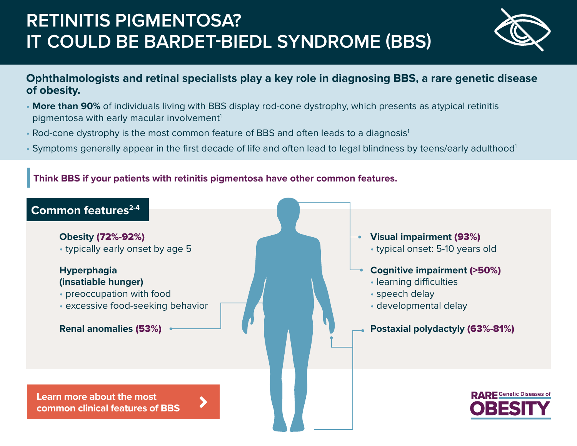# **RETINITIS PIGMENTOSA? IT COULD BE BARDET-BIEDL SYNDROME (BBS)**



### **Ophthalmologists and retinal specialists play a key role in diagnosing BBS, a rare genetic disease of obesity.**

- **More than 90%** of individuals living with BBS display rod-cone dystrophy, which presents as atypical retinitis pigmentosa with early macular involvement<sup>1</sup>
- Rod-cone dystrophy is the most common feature of BBS and often leads to a diagnosis<sup>1</sup>
- Symptoms generally appear in the first decade of life and often lead to legal blindness by teens/early adulthood<sup>1</sup>

#### **Think BBS if your patients with retinitis pigmentosa have other common features.**